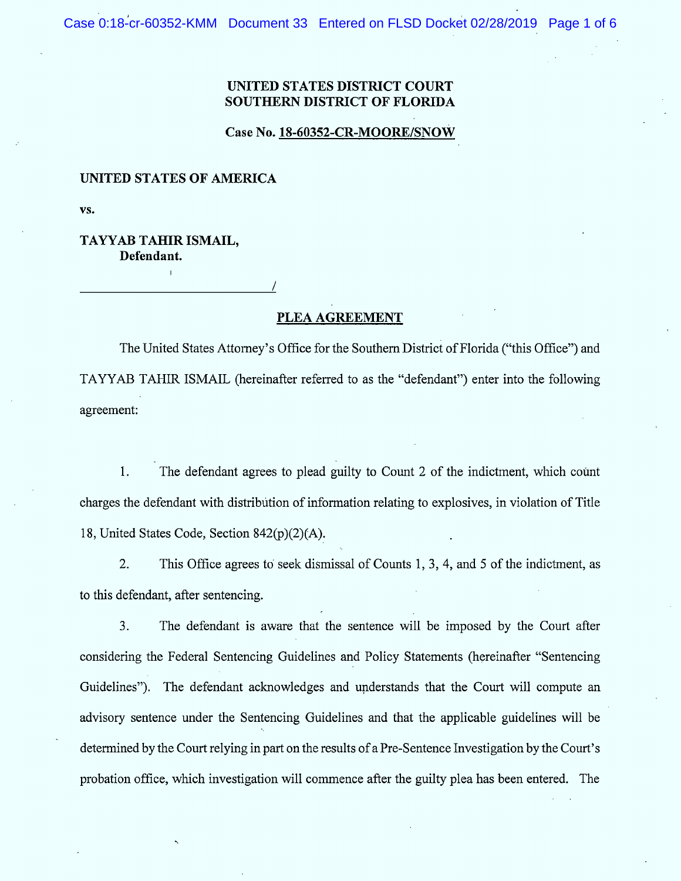## UNITED STATES DISTRICT COURT SOUTHERN DISTRICT OF FLORIDA

## Case No. 18-60352-CR-MOORE/SNOW

## UNITED STATES OF AMERICA

VS.

## TAYYAB TAHIR ISMAIL, Defendant.

PLEA AGREEMENT

/

The United States Attorney's Office for the Southern District of Florida ("this Office") and TAYYAB TAHIR ISMAIL (hereinafter referred to as the "defendant") enter into the following agreement:

1. The defendant agrees to plead guilty to Count 2 of the indictment, which count charges the defendant with distribùtion of infonnation relating to explosives, in violation of Title 18, United States Code, Section 842(p)(2)(A).

 $2.$ This Office agrees to seek dismissal of Counts 1, 3, 4, and 5 of the indictment, as to this defendant, after sentencing.

 $3.$ The defendant is aware that the sentence will be imposed by the Court after considering the Federal Sentencing Guidelines and Policy Statements (hereinafter "Sentencing Guidelines"). The defendant acknowledges and understands that the Court will compute an advisory sentence under the Sentencing Guidelines and that the applicable guidelines will be determined by the Court relying in part on the results of a Pre-Sentence Investigation by the Court's probation office, which investigation will commence after the guilty plea has been entered. The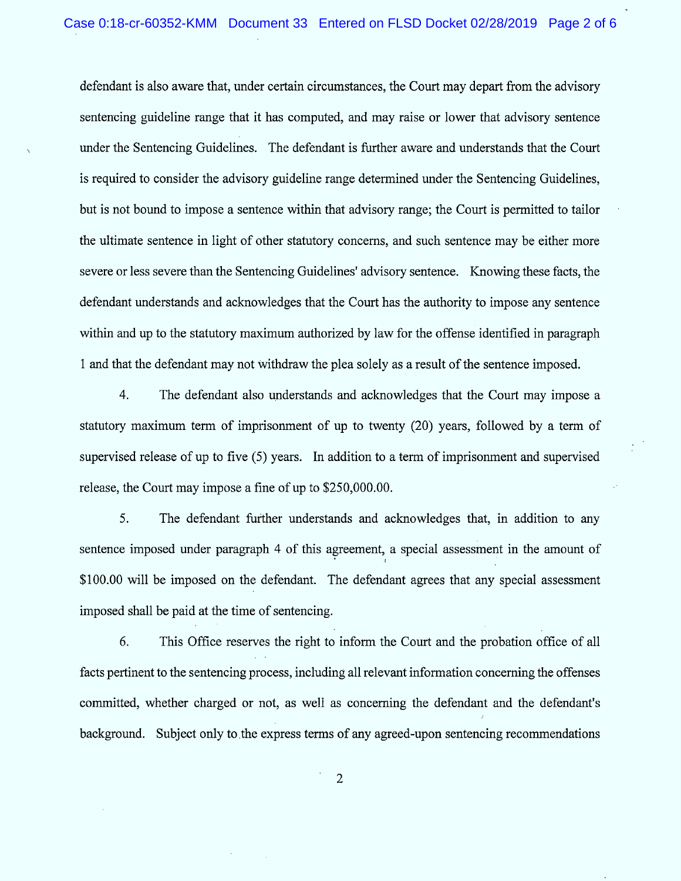defendant is also aware that, under certain circum stances, the Court may depart from the advisory sentencing guideline range that it has computed, and may raise or lower that advisory sentence under the Sentencing Guidelines. The defendant is further aware and understands that the Court is required to consider the advisory guideline range determined under the Sentencing Guidelines, but is not bound to impose a sentence within that advisory range; the Court is permitted to tailor the ultimate sentence in light of other statutory concerns, and such sentence may be either more severe or less severe than the Sentencing Guidelines' advisory sentence. Knowing these facts, the defendant understands and acknowledges that the Court has the authority to impose any sentence within and up to the statutory maximum authorized by 1aw for the offense identified in paragraph 1 and that the defendant may not withdraw the plea solely as a result of the sentence imposed.

4. The defendant also understands and acknowledges that the Court may impose a statutory maximum term of imprisonment of up to twenty (20) years, followed by a term of supervised release of up to five (5) years. ln addition to a term of imprisonment and supervised release, the Court may impose a fine of up to \$250,000.00.

5. The defendant further understands and acknowledges that, in addition to any sentence imposed under paragraph 4 of this agreement, a special assessment in the amount of \$100.00 will be imposed on the defendant. The defendant agrees that any special assessment imposed shall be paid at the time of sentencing.

6. This Office reserves the right to inform the Court and the probation office of al1 facts pertinent to the sentencing process, including all relevant information concerning the offenses committed, whether charged or not, as well as concerning the defendant and the defendant's background. Subject only to the express terms of any agreed-upon sentencing recommendations

 $\overline{2}$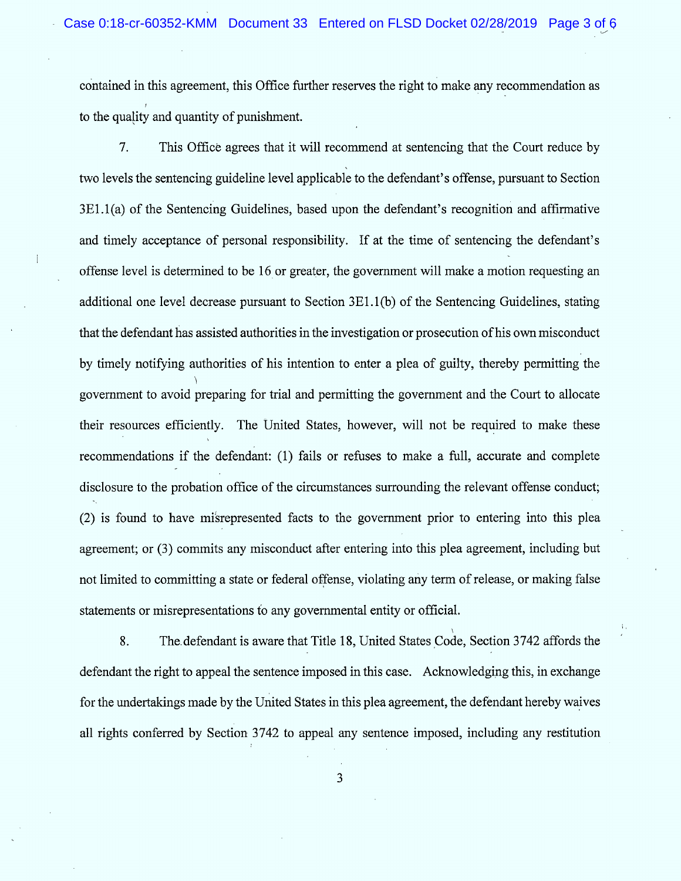contained in this agreement, this Office further reserves the right to make any recommendation as l to the quality and quantity of punishment.

 $7.$ This Office agrees that it will recommend at sentencing that the Court reduce by two levels the sentencing guideline level applicable to the defendant's offense, pursuant to Section 3E1.1(a) of the Sentencing Guidelines, based upon the defendant's recognition and affinnative and timely acceptance of personal responsibility. If at the time of sentencing the defendant's offense level is determined to be 16 or greater, the government will make a motion requesting an additional one level decrease pursuant to Section  $3E1.1(b)$  of the Sentencing Guidelines, stating that the defendant has assisted authorities in the investigation or prosecution of his own misconduct by timely notifying authorities of his intention to enter a plea of guilty, thereby pennitting the h government to avoid preparing for trial and permitting the government and the Court to allocate their resources efficiently. The United States, however, will not be required to make these k recommendations if the defendant: (1) fails or refuses to make a full, accurate and complete disclosure to the probation office of the circumstances surrounding the relevant offense conduct; (2) is found to have mikrepresented facts to the government prior to entering into this plea agreement; or (3) commits any misconduct after entering into this plea agreement, including but not limited to committing a state or federal offense, violating any term of release, or making false statements or misrepresentations to any governmental entity or official.

8. The defendant is aware that Title 18, United States Code, Section 3742 affords the defendant the right to appeal the sentence imposed in this case. Acknowledging this, in exchange for the undertakings made by the United States in this plea agreement, the defendant hereby waives a1l rights conferred by Section 3742 to appeal any sentence imposed, including any restitution

3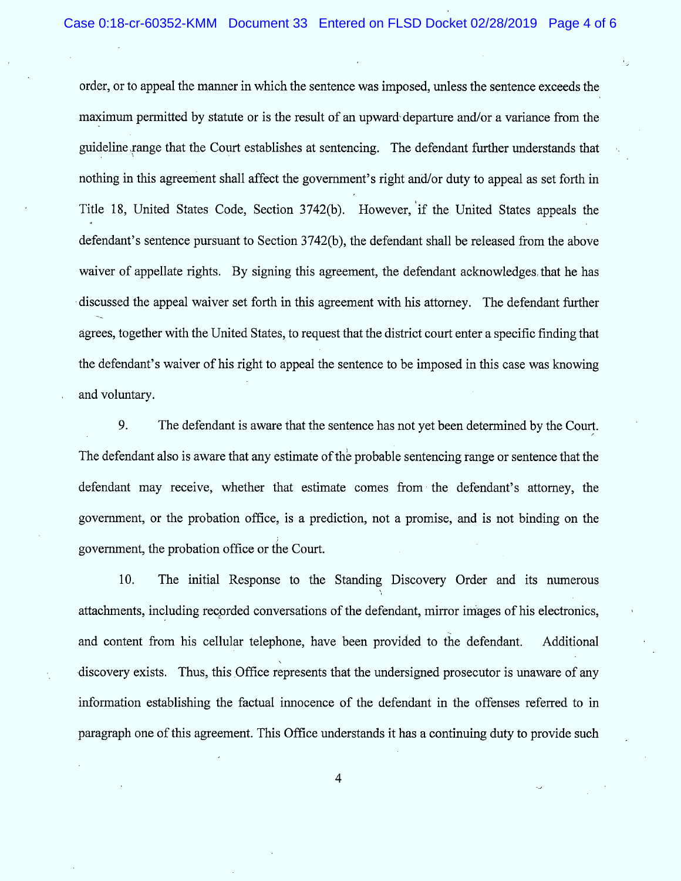order, or to appeal the manner in which the sentence was imposed, unless the sentence exceeds the maximum permitted by statute or is the result of an upward departure and/or a variance from the guideline range that the Court establishes at sentencing. The defendant further understands that nothing in this agreement shall affect the government's right and/or duty to appeal as set forth in Title 18, United States Code, Section 3742(b). However, if the United States appeals the defendant's sentence pursuant to Section 3742(b), the defendant shall be released from the above waiver of appellate rights. By signing this agreement, the defendant acknowledges that he has discussed the appeal waiver set forth in this agreement with his attorney. The defendant further égrees, together with the United States, to request that the district court enter a specific finding that the defendant's waiver of his right to appeal the sentence to be imposed in this case was knowing and voluntary.

9. The defendant is aware that the sentence has not yet been determined by the Courl. The defendant also is aware that any estimate of thè probable sentencing range or sentence that the defendant may receive, whether that estimate comes from the defendant's attorney, the government, or the probation office, is a prediction, not a promise, and is not binding on the ; government, the probation oftice or the Court.

10. The initial Response to the Standing Discovery Order and its numerous attachments, including recorded conversations of the defendant, mirror images of his electronics, and content from his cellular telephone, have been provided to the defendant. Additional  $\ddot{\phantom{0}}$ discovery exists. Thus, this Office represents that the undersigned prosecutor is unaware of any information establishing the factual innocence of the defendant in the offenses referred to in paragraph one of this agreement. This Office understands it has a continuing duty to provide such

 $\overline{\mathbf{4}}$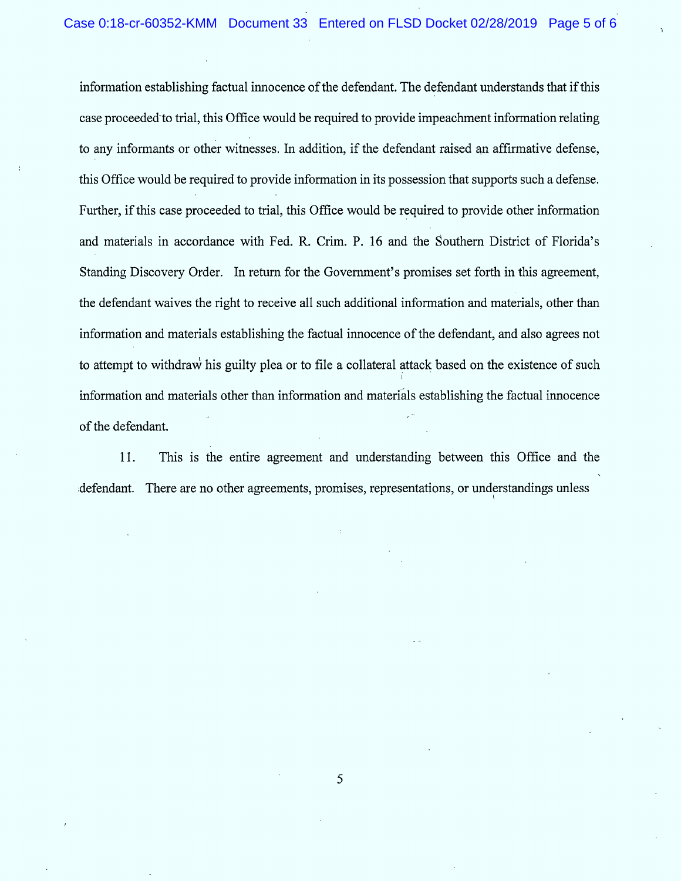information establishing factual innocence of the defendant. The defendant understands that if this case proceeded-to trial, this Office would be required to provide impeachment information relating to any informants or other witnesses. In addition, if the defendant raised an affirmative defense, this Office would be required to provide information in its possession that supports such a defense. Further, if this case proceeded to trial, this Office would be required to provide other information and materials in accordance with Fed. R. Crim. P. 16 and the Southern District of Florida's Standing Discovery Order. In return for the Government's promises set forth in this agreement, the defendant waives the right to receive all such additional information and materials, other than information and materials establishing the factual innocence of the defendant, and also agrees not to attempt to withdraw his guilty plea or to file a collateral attack based on the existence of such information and materials other than information and materials establishing the factual innocence of the defendant.

11. This is the entire agreement and understanding between this Office and the defendant. There are no other agreements, promises, representations, or understandings unless